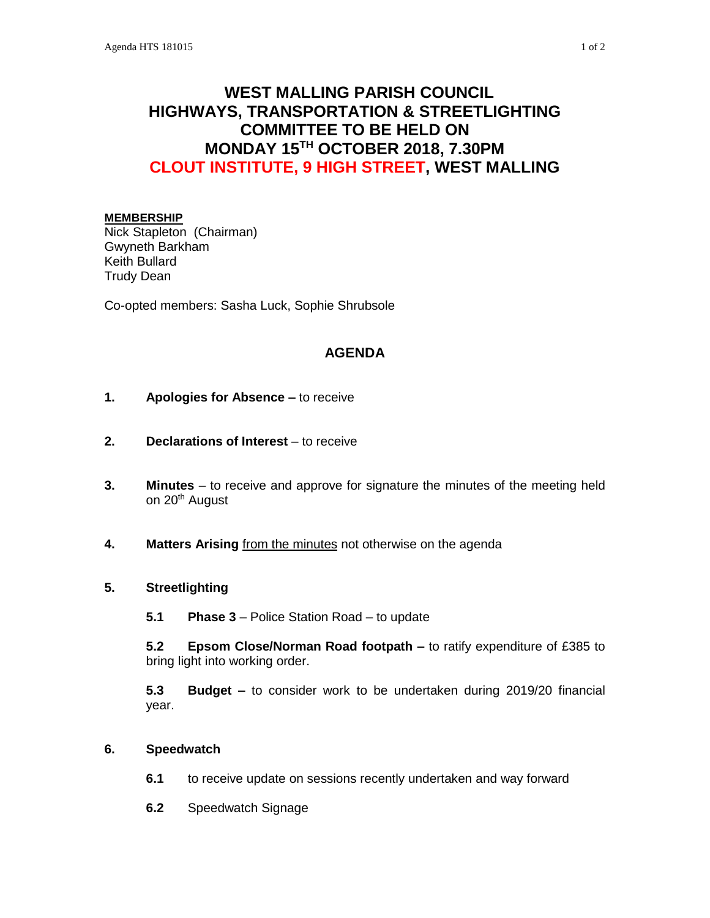# **WEST MALLING PARISH COUNCIL HIGHWAYS, TRANSPORTATION & STREETLIGHTING COMMITTEE TO BE HELD ON MONDAY 15TH OCTOBER 2018, 7.30PM CLOUT INSTITUTE, 9 HIGH STREET, WEST MALLING**

#### **MEMBERSHIP**

Nick Stapleton (Chairman) Gwyneth Barkham Keith Bullard Trudy Dean

Co-opted members: Sasha Luck, Sophie Shrubsole

### **AGENDA**

- **1. Apologies for Absence –** to receive
- **2. Declarations of Interest** to receive
- **3. Minutes**  to receive and approve for signature the minutes of the meeting held on 20<sup>th</sup> August
- **4. Matters Arising** from the minutes not otherwise on the agenda

## **5. Streetlighting**

**5.1 Phase 3** – Police Station Road – to update

**5.2 Epsom Close/Norman Road footpath –** to ratify expenditure of £385 to bring light into working order.

**5.3 Budget –** to consider work to be undertaken during 2019/20 financial year.

#### **6. Speedwatch**

- **6.1** to receive update on sessions recently undertaken and way forward
- **6.2** Speedwatch Signage